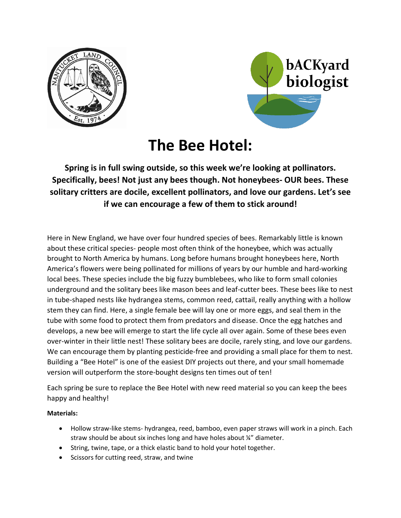



## **The Bee Hotel:**

**Spring is in full swing outside, so this week we're looking at pollinators. Specifically, bees! Not just any bees though. Not honeybees- OUR bees. These solitary critters are docile, excellent pollinators, and love our gardens. Let's see if we can encourage a few of them to stick around!**

Here in New England, we have over four hundred species of bees. Remarkably little is known about these critical species- people most often think of the honeybee, which was actually brought to North America by humans. Long before humans brought honeybees here, North America's flowers were being pollinated for millions of years by our humble and hard-working local bees. These species include the big fuzzy bumblebees, who like to form small colonies underground and the solitary bees like mason bees and leaf-cutter bees. These bees like to nest in tube-shaped nests like hydrangea stems, common reed, cattail, really anything with a hollow stem they can find. Here, a single female bee will lay one or more eggs, and seal them in the tube with some food to protect them from predators and disease. Once the egg hatches and develops, a new bee will emerge to start the life cycle all over again. Some of these bees even over-winter in their little nest! These solitary bees are docile, rarely sting, and love our gardens. We can encourage them by planting pesticide-free and providing a small place for them to nest. Building a "Bee Hotel" is one of the easiest DIY projects out there, and your small homemade version will outperform the store-bought designs ten times out of ten!

Each spring be sure to replace the Bee Hotel with new reed material so you can keep the bees happy and healthy!

**Materials:**

- Hollow straw-like stems- hydrangea, reed, bamboo, even paper straws will work in a pinch. Each straw should be about six inches long and have holes about ¼" diameter.
- String, twine, tape, or a thick elastic band to hold your hotel together.
- Scissors for cutting reed, straw, and twine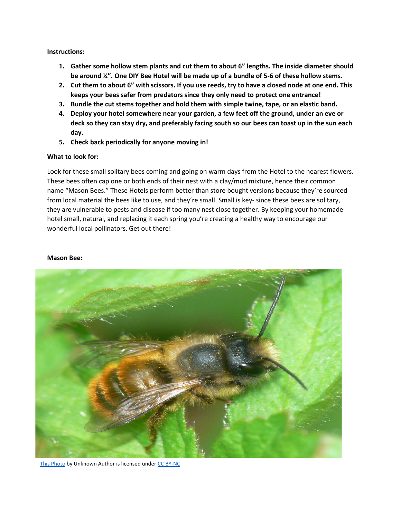**Instructions:**

- **1. Gather some hollow stem plants and cut them to about 6" lengths. The inside diameter should be around ¼". One DIY Bee Hotel will be made up of a bundle of 5-6 of these hollow stems.**
- **2. Cut them to about 6" with scissors. If you use reeds, try to have a closed node at one end. This keeps your bees safer from predators since they only need to protect one entrance!**
- **3. Bundle the cut stems together and hold them with simple twine, tape, or an elastic band.**
- **4. Deploy your hotel somewhere near your garden, a few feet off the ground, under an eve or deck so they can stay dry, and preferably facing south so our bees can toast up in the sun each day.**
- **5. Check back periodically for anyone moving in!**

## **What to look for:**

Look for these small solitary bees coming and going on warm days from the Hotel to the nearest flowers. These bees often cap one or both ends of their nest with a clay/mud mixture, hence their common name "Mason Bees." These Hotels perform better than store bought versions because they're sourced from local material the bees like to use, and they're small. Small is key- since these bees are solitary, they are vulnerable to pests and disease if too many nest close together. By keeping your homemade hotel small, natural, and replacing it each spring you're creating a healthy way to encourage our wonderful local pollinators. Get out there!

## **Mason Bee:**



[This Photo](http://flickr.com/photos/bramblejungle/4551061102) by Unknown Author is licensed under [CC BY-NC](https://creativecommons.org/licenses/by-nc/3.0/)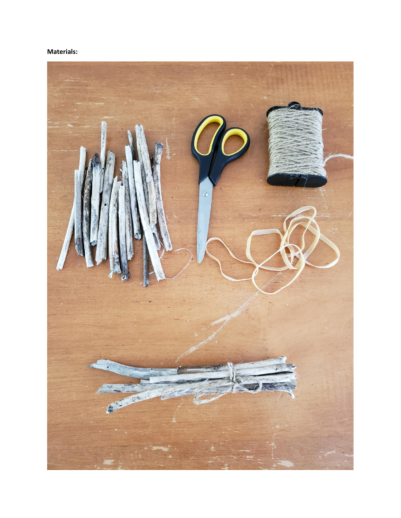## **Materials:**